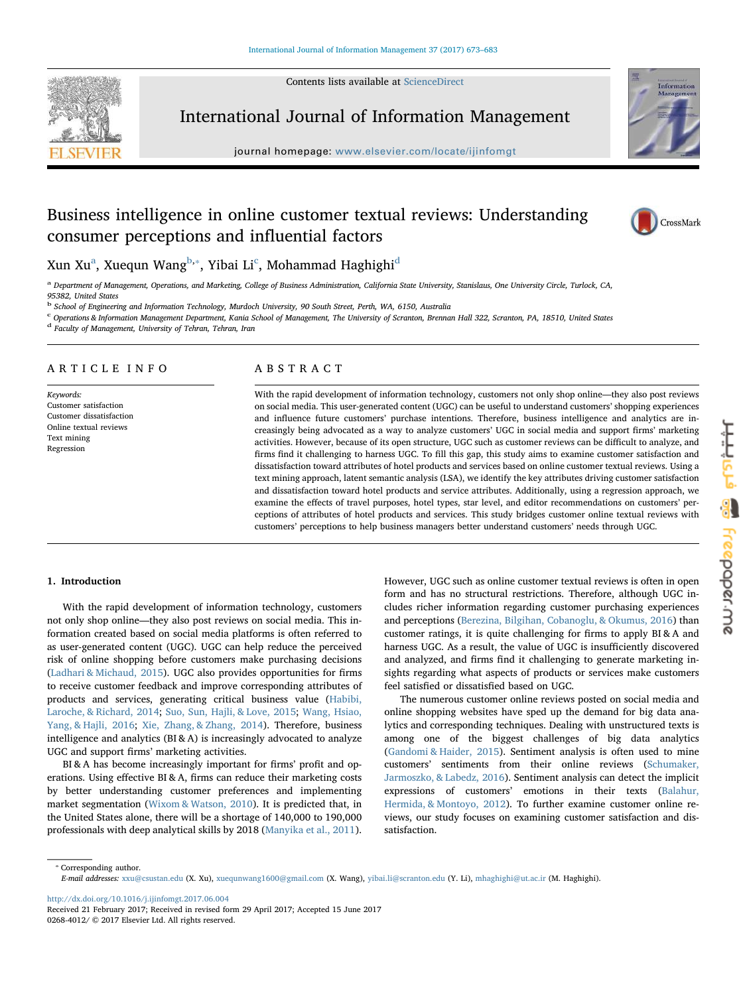Contents lists available at [ScienceDirect](http://www.sciencedirect.com/science/journal/02684012)



International Journal of Information Management

journal homepage: [www.elsevier.com/locate/ijinfomgt](http://www.elsevier.com/locate/ijinfomgt)



# Business intelligence in online customer textual reviews: Understanding consumer perceptions and influential factors



Xun Xu $^{\rm a}$  $^{\rm a}$  $^{\rm a}$ , Xuequn Wang $^{\rm b, *}$  $^{\rm b, *}$  $^{\rm b, *}$ , Yibai Li $^{\rm c}$  $^{\rm c}$  $^{\rm c}$ , Mohamma[d](#page-0-4) Haghighi $^{\rm d}$ 

<span id="page-0-0"></span>a Department of Management, Operations, and Marketing, College of Business Administration, California State University, Stanislaus, One University Circle, Turlock, CA, 95382, United States

<span id="page-0-1"></span><sup>b</sup> School of Engineering and Information Technology, Murdoch University, 90 South Street, Perth, WA, 6150, Australia

<span id="page-0-3"></span><sup>c</sup> Operations & Information Management Department, Kania School of Management, The University of Scranton, Brennan Hall 322, Scranton, PA, 18510, United States

<span id="page-0-4"></span><sup>d</sup> Faculty of Management, University of Tehran, Tehran, Iran

# ARTICLE INFO

Keywords: Customer satisfaction Customer dissatisfaction Online textual reviews Text mining Regression

# ABSTRACT

With the rapid development of information technology, customers not only shop online—they also post reviews on social media. This user-generated content (UGC) can be useful to understand customers' shopping experiences and influence future customers' purchase intentions. Therefore, business intelligence and analytics are increasingly being advocated as a way to analyze customers' UGC in social media and support firms' marketing activities. However, because of its open structure, UGC such as customer reviews can be difficult to analyze, and firms find it challenging to harness UGC. To fill this gap, this study aims to examine customer satisfaction and dissatisfaction toward attributes of hotel products and services based on online customer textual reviews. Using a text mining approach, latent semantic analysis (LSA), we identify the key attributes driving customer satisfaction and dissatisfaction toward hotel products and service attributes. Additionally, using a regression approach, we examine the effects of travel purposes, hotel types, star level, and editor recommendations on customers' perceptions of attributes of hotel products and services. This study bridges customer online textual reviews with customers' perceptions to help business managers better understand customers' needs through UGC.

# 1. Introduction

With the rapid development of information technology, customers not only shop online—they also post reviews on social media. This information created based on social media platforms is often referred to as user-generated content (UGC). UGC can help reduce the perceived risk of online shopping before customers make purchasing decisions ([Ladhari & Michaud, 2015](#page-9-0)). UGC also provides opportunities for firms to receive customer feedback and improve corresponding attributes of products and services, generating critical business value ([Habibi,](#page-9-1) [Laroche, & Richard, 2014](#page-9-1); [Suo, Sun, Hajli, & Love, 2015](#page-10-0); [Wang, Hsiao,](#page-10-1) [Yang, & Hajli, 2016](#page-10-1); [Xie, Zhang, & Zhang, 2014\)](#page-10-2). Therefore, business intelligence and analytics (BI & A) is increasingly advocated to analyze UGC and support firms' marketing activities.

BI & A has become increasingly important for firms' profit and operations. Using effective BI & A, firms can reduce their marketing costs by better understanding customer preferences and implementing market segmentation [\(Wixom & Watson, 2010](#page-10-3)). It is predicted that, in the United States alone, there will be a shortage of 140,000 to 190,000 professionals with deep analytical skills by 2018 ([Manyika et al., 2011](#page-10-4)).

However, UGC such as online customer textual reviews is often in open form and has no structural restrictions. Therefore, although UGC includes richer information regarding customer purchasing experiences and perceptions ([Berezina, Bilgihan, Cobanoglu, & Okumus, 2016\)](#page-9-2) than customer ratings, it is quite challenging for firms to apply BI & A and harness UGC. As a result, the value of UGC is insufficiently discovered and analyzed, and firms find it challenging to generate marketing insights regarding what aspects of products or services make customers feel satisfied or dissatisfied based on UGC.

The numerous customer online reviews posted on social media and online shopping websites have sped up the demand for big data analytics and corresponding techniques. Dealing with unstructured texts is among one of the biggest challenges of big data analytics ([Gandomi & Haider, 2015](#page-9-3)). Sentiment analysis is often used to mine customers' sentiments from their online reviews [\(Schumaker,](#page-10-5) [Jarmoszko, & Labedz, 2016](#page-10-5)). Sentiment analysis can detect the implicit expressions of customers' emotions in their texts ([Balahur,](#page-9-4) [Hermida, & Montoyo, 2012](#page-9-4)). To further examine customer online reviews, our study focuses on examining customer satisfaction and dissatisfaction.

<http://dx.doi.org/10.1016/j.ijinfomgt.2017.06.004>

<span id="page-0-2"></span><sup>⁎</sup> Corresponding author. E-mail addresses: [xxu@csustan.edu](mailto:xxu@csustan.edu) (X. Xu), [xuequnwang1600@gmail.com](mailto:xuequnwang1600@gmail.com) (X. Wang), [yibai.li@scranton.edu](mailto:yibai.li@scranton.edu) (Y. Li), [mhaghighi@ut.ac.ir](mailto:mhaghighi@ut.ac.ir) (M. Haghighi).

Received 21 February 2017; Received in revised form 29 April 2017; Accepted 15 June 2017 0268-4012/ © 2017 Elsevier Ltd. All rights reserved.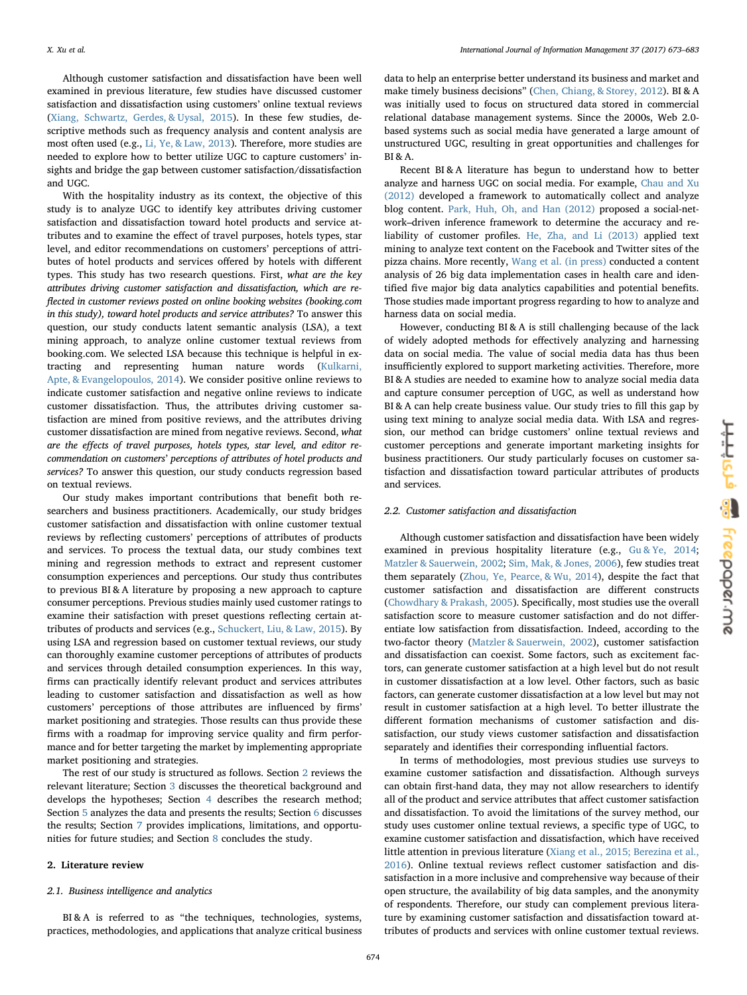Although customer satisfaction and dissatisfaction have been well examined in previous literature, few studies have discussed customer satisfaction and dissatisfaction using customers' online textual reviews ([Xiang, Schwartz, Gerdes, & Uysal, 2015\)](#page-10-6). In these few studies, descriptive methods such as frequency analysis and content analysis are most often used (e.g., [Li, Ye, & Law, 2013](#page-9-5)). Therefore, more studies are needed to explore how to better utilize UGC to capture customers' insights and bridge the gap between customer satisfaction/dissatisfaction and UGC.

With the hospitality industry as its context, the objective of this study is to analyze UGC to identify key attributes driving customer satisfaction and dissatisfaction toward hotel products and service attributes and to examine the effect of travel purposes, hotels types, star level, and editor recommendations on customers' perceptions of attributes of hotel products and services offered by hotels with different types. This study has two research questions. First, what are the key attributes driving customer satisfaction and dissatisfaction, which are reflected in customer reviews posted on online booking websites (booking.com in this study), toward hotel products and service attributes? To answer this question, our study conducts latent semantic analysis (LSA), a text mining approach, to analyze online customer textual reviews from booking.com. We selected LSA because this technique is helpful in extracting and representing human nature words [\(Kulkarni,](#page-9-6) [Apte, & Evangelopoulos, 2014](#page-9-6)). We consider positive online reviews to indicate customer satisfaction and negative online reviews to indicate customer dissatisfaction. Thus, the attributes driving customer satisfaction are mined from positive reviews, and the attributes driving customer dissatisfaction are mined from negative reviews. Second, what are the effects of travel purposes, hotels types, star level, and editor recommendation on customers' perceptions of attributes of hotel products and services? To answer this question, our study conducts regression based on textual reviews.

Our study makes important contributions that benefit both researchers and business practitioners. Academically, our study bridges customer satisfaction and dissatisfaction with online customer textual reviews by reflecting customers' perceptions of attributes of products and services. To process the textual data, our study combines text mining and regression methods to extract and represent customer consumption experiences and perceptions. Our study thus contributes to previous BI & A literature by proposing a new approach to capture consumer perceptions. Previous studies mainly used customer ratings to examine their satisfaction with preset questions reflecting certain attributes of products and services (e.g., [Schuckert, Liu, & Law, 2015](#page-10-7)). By using LSA and regression based on customer textual reviews, our study can thoroughly examine customer perceptions of attributes of products and services through detailed consumption experiences. In this way, firms can practically identify relevant product and services attributes leading to customer satisfaction and dissatisfaction as well as how customers' perceptions of those attributes are influenced by firms' market positioning and strategies. Those results can thus provide these firms with a roadmap for improving service quality and firm performance and for better targeting the market by implementing appropriate market positioning and strategies.

The rest of our study is structured as follows. Section [2](#page-1-0) reviews the relevant literature; Section [3](#page-2-0) discusses the theoretical background and develops the hypotheses; Section [4](#page-3-0) describes the research method; Section [5](#page-5-0) analyzes the data and presents the results; Section [6](#page-5-1) discusses the results; Section [7](#page-7-0) provides implications, limitations, and opportunities for future studies; and Section [8](#page-9-7) concludes the study.

#### <span id="page-1-0"></span>2. Literature review

#### 2.1. Business intelligence and analytics

BI & A is referred to as "the techniques, technologies, systems, practices, methodologies, and applications that analyze critical business

data to help an enterprise better understand its business and market and make timely business decisions" [\(Chen, Chiang, & Storey, 2012\)](#page-9-8). BI & A was initially used to focus on structured data stored in commercial relational database management systems. Since the 2000s, Web 2.0 based systems such as social media have generated a large amount of unstructured UGC, resulting in great opportunities and challenges for BI & A.

Recent BI & A literature has begun to understand how to better analyze and harness UGC on social media. For example, [Chau and Xu](#page-9-9) [\(2012\)](#page-9-9) developed a framework to automatically collect and analyze blog content. [Park, Huh, Oh, and Han \(2012\)](#page-10-8) proposed a social-network–driven inference framework to determine the accuracy and reliability of customer profiles. [He, Zha, and Li \(2013\)](#page-9-10) applied text mining to analyze text content on the Facebook and Twitter sites of the pizza chains. More recently, [Wang et al. \(in press\)](#page-10-9) conducted a content analysis of 26 big data implementation cases in health care and identified five major big data analytics capabilities and potential benefits. Those studies made important progress regarding to how to analyze and harness data on social media.

However, conducting BI & A is still challenging because of the lack of widely adopted methods for effectively analyzing and harnessing data on social media. The value of social media data has thus been insufficiently explored to support marketing activities. Therefore, more BI & A studies are needed to examine how to analyze social media data and capture consumer perception of UGC, as well as understand how BI & A can help create business value. Our study tries to fill this gap by using text mining to analyze social media data. With LSA and regression, our method can bridge customers' online textual reviews and customer perceptions and generate important marketing insights for business practitioners. Our study particularly focuses on customer satisfaction and dissatisfaction toward particular attributes of products and services.

### 2.2. Customer satisfaction and dissatisfaction

Although customer satisfaction and dissatisfaction have been widely examined in previous hospitality literature (e.g., [Gu & Ye, 2014](#page-9-11); [Matzler & Sauerwein, 2002](#page-10-10); [Sim, Mak, & Jones, 2006](#page-10-11)), few studies treat them separately ([Zhou, Ye, Pearce, & Wu, 2014\)](#page-10-12), despite the fact that customer satisfaction and dissatisfaction are different constructs ([Chowdhary & Prakash, 2005](#page-9-12)). Specifically, most studies use the overall satisfaction score to measure customer satisfaction and do not differentiate low satisfaction from dissatisfaction. Indeed, according to the two-factor theory [\(Matzler & Sauerwein, 2002\)](#page-10-10), customer satisfaction and dissatisfaction can coexist. Some factors, such as excitement factors, can generate customer satisfaction at a high level but do not result in customer dissatisfaction at a low level. Other factors, such as basic factors, can generate customer dissatisfaction at a low level but may not result in customer satisfaction at a high level. To better illustrate the different formation mechanisms of customer satisfaction and dissatisfaction, our study views customer satisfaction and dissatisfaction separately and identifies their corresponding influential factors.

In terms of methodologies, most previous studies use surveys to examine customer satisfaction and dissatisfaction. Although surveys can obtain first-hand data, they may not allow researchers to identify all of the product and service attributes that affect customer satisfaction and dissatisfaction. To avoid the limitations of the survey method, our study uses customer online textual reviews, a specific type of UGC, to examine customer satisfaction and dissatisfaction, which have received little attention in previous literature ([Xiang et al., 2015; Berezina et al.,](#page-10-6) [2016\)](#page-10-6). Online textual reviews reflect customer satisfaction and dissatisfaction in a more inclusive and comprehensive way because of their open structure, the availability of big data samples, and the anonymity of respondents. Therefore, our study can complement previous literature by examining customer satisfaction and dissatisfaction toward attributes of products and services with online customer textual reviews.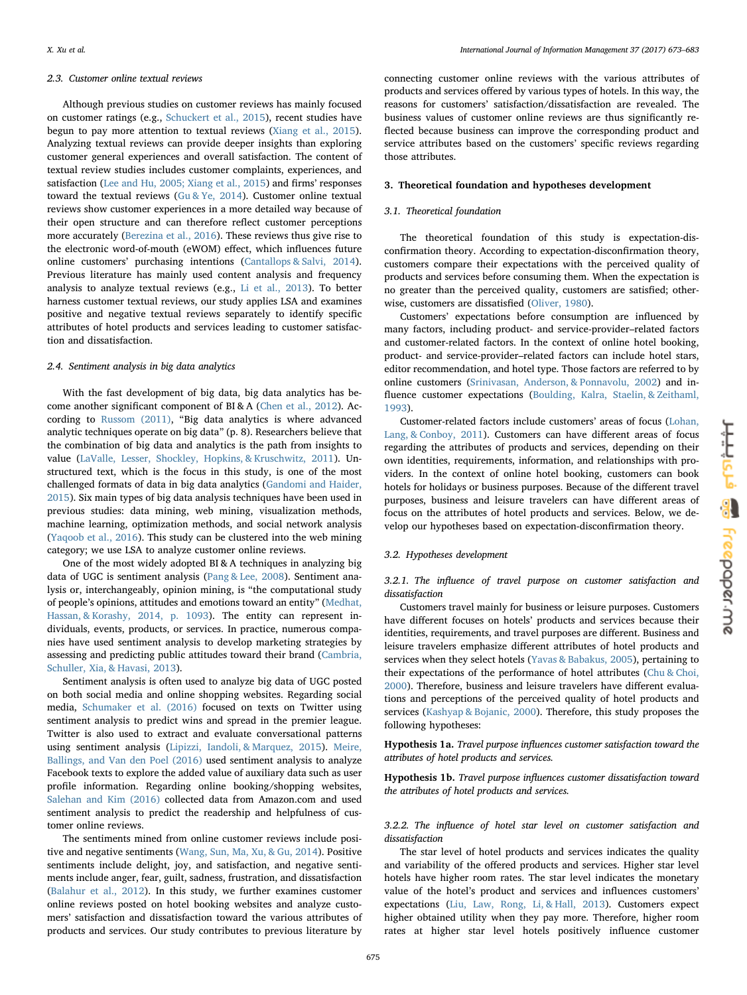#### 2.3. Customer online textual reviews

Although previous studies on customer reviews has mainly focused on customer ratings (e.g., [Schuckert et al., 2015\)](#page-10-7), recent studies have begun to pay more attention to textual reviews ([Xiang et al., 2015](#page-10-6)). Analyzing textual reviews can provide deeper insights than exploring customer general experiences and overall satisfaction. The content of textual review studies includes customer complaints, experiences, and satisfaction ([Lee and Hu, 2005; Xiang et al., 2015](#page-9-13)) and firms' responses toward the textual reviews  $(Gu \& Ye, 2014)$ . Customer online textual reviews show customer experiences in a more detailed way because of their open structure and can therefore reflect customer perceptions more accurately ([Berezina et al., 2016\)](#page-9-2). These reviews thus give rise to the electronic word-of-mouth (eWOM) effect, which influences future online customers' purchasing intentions [\(Cantallops & Salvi, 2014](#page-9-14)). Previous literature has mainly used content analysis and frequency analysis to analyze textual reviews (e.g., [Li et al., 2013\)](#page-9-5). To better harness customer textual reviews, our study applies LSA and examines positive and negative textual reviews separately to identify specific attributes of hotel products and services leading to customer satisfaction and dissatisfaction.

### 2.4. Sentiment analysis in big data analytics

With the fast development of big data, big data analytics has become another significant component of BI & A [\(Chen et al., 2012](#page-9-8)). According to [Russom \(2011\)](#page-10-13), "Big data analytics is where advanced analytic techniques operate on big data" (p. 8). Researchers believe that the combination of big data and analytics is the path from insights to value ([LaValle, Lesser, Shockley, Hopkins, & Kruschwitz, 2011](#page-9-15)). Unstructured text, which is the focus in this study, is one of the most challenged formats of data in big data analytics [\(Gandomi and Haider,](#page-9-3) [2015\)](#page-9-3). Six main types of big data analysis techniques have been used in previous studies: data mining, web mining, visualization methods, machine learning, optimization methods, and social network analysis ([Yaqoob et al., 2016\)](#page-10-14). This study can be clustered into the web mining category; we use LSA to analyze customer online reviews.

One of the most widely adopted BI & A techniques in analyzing big data of UGC is sentiment analysis [\(Pang & Lee, 2008\)](#page-10-15). Sentiment analysis or, interchangeably, opinion mining, is "the computational study of people's opinions, attitudes and emotions toward an entity" ([Medhat,](#page-10-16) [Hassan, & Korashy, 2014, p. 1093](#page-10-16)). The entity can represent individuals, events, products, or services. In practice, numerous companies have used sentiment analysis to develop marketing strategies by assessing and predicting public attitudes toward their brand ([Cambria,](#page-9-16) [Schuller, Xia, & Havasi, 2013](#page-9-16)).

Sentiment analysis is often used to analyze big data of UGC posted on both social media and online shopping websites. Regarding social media, Schumaker [et al. \(2016\)](#page-10-5) focused on texts on Twitter using sentiment analysis to predict wins and spread in the premier league. Twitter is also used to extract and evaluate conversational patterns using sentiment analysis [\(Lipizzi, Iandoli, & Marquez, 2015](#page-9-17)). [Meire,](#page-10-17) [Ballings, and Van den Poel \(2016\)](#page-10-17) used sentiment analysis to analyze Facebook texts to explore the added value of auxiliary data such as user profile information. Regarding online booking/shopping websites, [Salehan and Kim \(2016\)](#page-10-18) collected data from Amazon.com and used sentiment analysis to predict the readership and helpfulness of customer online reviews.

The sentiments mined from online customer reviews include positive and negative sentiments [\(Wang, Sun, Ma, Xu, & Gu, 2014\)](#page-10-19). Positive sentiments include delight, joy, and satisfaction, and negative sentiments include anger, fear, guilt, sadness, frustration, and dissatisfaction ([Balahur et al., 2012](#page-9-4)). In this study, we further examines customer online reviews posted on hotel booking websites and analyze customers' satisfaction and dissatisfaction toward the various attributes of products and services. Our study contributes to previous literature by

connecting customer online reviews with the various attributes of products and services offered by various types of hotels. In this way, the reasons for customers' satisfaction/dissatisfaction are revealed. The business values of customer online reviews are thus significantly reflected because business can improve the corresponding product and service attributes based on the customers' specific reviews regarding those attributes.

#### <span id="page-2-0"></span>3. Theoretical foundation and hypotheses development

### 3.1. Theoretical foundation

The theoretical foundation of this study is expectation-disconfirmation theory. According to expectation-disconfirmation theory, customers compare their expectations with the perceived quality of products and services before consuming them. When the expectation is no greater than the perceived quality, customers are satisfied; otherwise, customers are dissatisfied ([Oliver, 1980](#page-10-20)).

Customers' expectations before consumption are influenced by many factors, including product- and service-provider–related factors and customer-related factors. In the context of online hotel booking, product- and service-provider–related factors can include hotel stars, editor recommendation, and hotel type. Those factors are referred to by online customers [\(Srinivasan, Anderson, & Ponnavolu, 2002](#page-10-21)) and influence customer expectations [\(Boulding, Kalra, Staelin, & Zeithaml,](#page-9-18) [1993\)](#page-9-18).

Customer-related factors include customers' areas of focus ([Lohan,](#page-10-22) [Lang, & Conboy, 2011](#page-10-22)). Customers can have different areas of focus regarding the attributes of products and services, depending on their own identities, requirements, information, and relationships with providers. In the context of online hotel booking, customers can book hotels for holidays or business purposes. Because of the different travel purposes, business and leisure travelers can have different areas of focus on the attributes of hotel products and services. Below, we develop our hypotheses based on expectation-disconfirmation theory.

# 3.2. Hypotheses development

3.2.1. The influence of travel purpose on customer satisfaction and dissatisfaction

Customers travel mainly for business or leisure purposes. Customers have different focuses on hotels' products and services because their identities, requirements, and travel purposes are different. Business and leisure travelers emphasize different attributes of hotel products and services when they select hotels ([Yavas & Babakus, 2005\)](#page-10-23), pertaining to their expectations of the performance of hotel attributes [\(Chu & Choi,](#page-9-19) [2000\)](#page-9-19). Therefore, business and leisure travelers have different evaluations and perceptions of the perceived quality of hotel products and services [\(Kashyap & Bojanic, 2000\)](#page-9-20). Therefore, this study proposes the following hypotheses:

Hypothesis 1a. Travel purpose influences customer satisfaction toward the attributes of hotel products and services.

Hypothesis 1b. Travel purpose influences customer dissatisfaction toward the attributes of hotel products and services.

3.2.2. The influence of hotel star level on customer satisfaction and dissatisfaction

The star level of hotel products and services indicates the quality and variability of the offered products and services. Higher star level hotels have higher room rates. The star level indicates the monetary value of the hotel's product and services and influences customers' expectations ([Liu, Law, Rong, Li, & Hall, 2013\)](#page-9-21). Customers expect higher obtained utility when they pay more. Therefore, higher room rates at higher star level hotels positively influence customer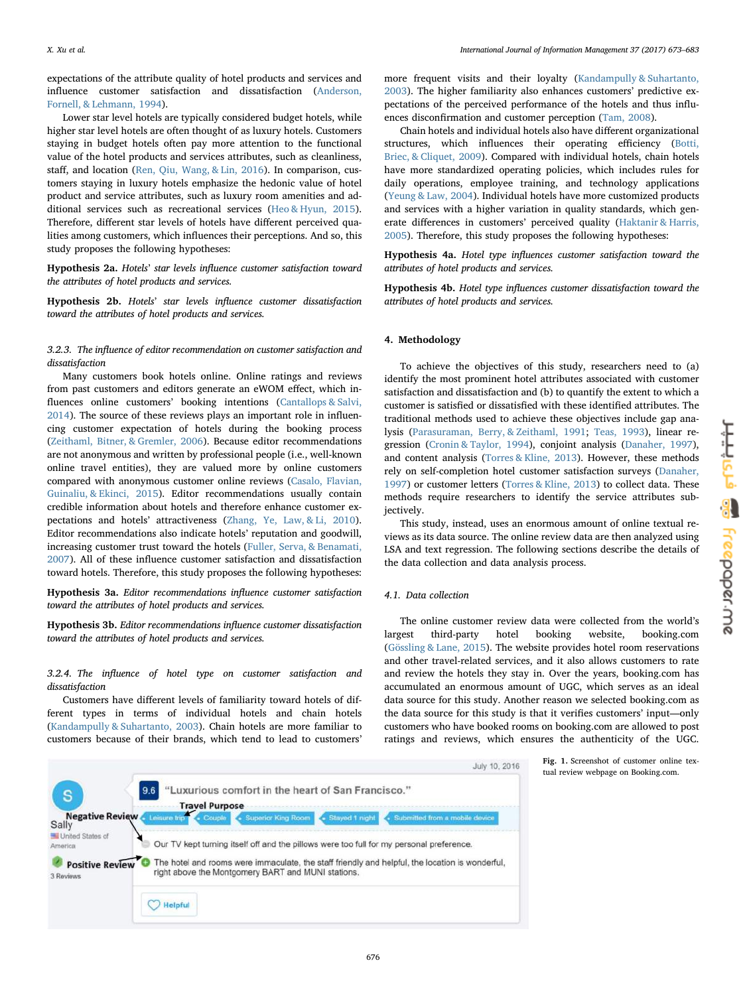expectations of the attribute quality of hotel products and services and influence customer satisfaction and dissatisfaction ([Anderson,](#page-9-22) [Fornell, & Lehmann, 1994\)](#page-9-22).

Lower star level hotels are typically considered budget hotels, while higher star level hotels are often thought of as luxury hotels. Customers staying in budget hotels often pay more attention to the functional value of the hotel products and services attributes, such as cleanliness, staff, and location [\(Ren, Qiu, Wang, & Lin, 2016](#page-10-24)). In comparison, customers staying in luxury hotels emphasize the hedonic value of hotel product and service attributes, such as luxury room amenities and additional services such as recreational services ([Heo & Hyun, 2015](#page-9-23)). Therefore, different star levels of hotels have different perceived qualities among customers, which influences their perceptions. And so, this study proposes the following hypotheses:

Hypothesis 2a. Hotels' star levels influence customer satisfaction toward the attributes of hotel products and services.

Hypothesis 2b. Hotels' star levels influence customer dissatisfaction toward the attributes of hotel products and services.

# 3.2.3. The influence of editor recommendation on customer satisfaction and dissatisfaction

Many customers book hotels online. Online ratings and reviews from past customers and editors generate an eWOM effect, which in-fluences online customers' booking intentions [\(Cantallops & Salvi,](#page-9-14) [2014\)](#page-9-14). The source of these reviews plays an important role in influencing customer expectation of hotels during the booking process ([Zeithaml, Bitner, & Gremler, 2006\)](#page-10-25). Because editor recommendations are not anonymous and written by professional people (i.e., well-known online travel entities), they are valued more by online customers compared with anonymous customer online reviews [\(Casalo, Flavian,](#page-9-24) [Guinaliu, & Ekinci, 2015](#page-9-24)). Editor recommendations usually contain credible information about hotels and therefore enhance customer expectations and hotels' attractiveness ([Zhang, Ye, Law, & Li, 2010](#page-10-26)). Editor recommendations also indicate hotels' reputation and goodwill, increasing customer trust toward the hotels [\(Fuller, Serva, & Benamati,](#page-9-25) [2007\)](#page-9-25). All of these influence customer satisfaction and dissatisfaction toward hotels. Therefore, this study proposes the following hypotheses:

Hypothesis 3a. Editor recommendations influence customer satisfaction toward the attributes of hotel products and services.

Hypothesis 3b. Editor recommendations influence customer dissatisfaction toward the attributes of hotel products and services.

3.2.4. The influence of hotel type on customer satisfaction and dissatisfaction

Customers have different levels of familiarity toward hotels of different types in terms of individual hotels and chain hotels ([Kandampully & Suhartanto, 2003](#page-9-26)). Chain hotels are more familiar to customers because of their brands, which tend to lead to customers'

more frequent visits and their loyalty [\(Kandampully & Suhartanto,](#page-9-26) [2003\)](#page-9-26). The higher familiarity also enhances customers' predictive expectations of the perceived performance of the hotels and thus influences disconfirmation and customer perception ([Tam, 2008\)](#page-10-27).

Chain hotels and individual hotels also have different organizational structures, which influences their operating efficiency [\(Botti,](#page-9-27) [Briec, & Cliquet, 2009\)](#page-9-27). Compared with individual hotels, chain hotels have more standardized operating policies, which includes rules for daily operations, employee training, and technology applications ([Yeung & Law, 2004](#page-10-28)). Individual hotels have more customized products and services with a higher variation in quality standards, which generate differences in customers' perceived quality ([Haktanir & Harris,](#page-9-28) [2005\)](#page-9-28). Therefore, this study proposes the following hypotheses:

Hypothesis 4a. Hotel type influences customer satisfaction toward the attributes of hotel products and services.

Hypothesis 4b. Hotel type influences customer dissatisfaction toward the attributes of hotel products and services.

# <span id="page-3-0"></span>4. Methodology

To achieve the objectives of this study, researchers need to (a) identify the most prominent hotel attributes associated with customer satisfaction and dissatisfaction and (b) to quantify the extent to which a customer is satisfied or dissatisfied with these identified attributes. The traditional methods used to achieve these objectives include gap analysis [\(Parasuraman, Berry, & Zeithaml, 1991](#page-10-29); [Teas, 1993](#page-10-30)), linear regression [\(Cronin & Taylor, 1994\)](#page-9-29), conjoint analysis ([Danaher, 1997](#page-9-30)), and content analysis [\(Torres & Kline, 2013](#page-10-31)). However, these methods rely on self-completion hotel customer satisfaction surveys ([Danaher,](#page-9-30) [1997\)](#page-9-30) or customer letters [\(Torres & Kline, 2013\)](#page-10-31) to collect data. These methods require researchers to identify the service attributes subjectively.

This study, instead, uses an enormous amount of online textual reviews as its data source. The online review data are then analyzed using LSA and text regression. The following sections describe the details of the data collection and data analysis process.

#### 4.1. Data collection

The online customer review data were collected from the world's largest third-party hotel booking website, booking.com ([Gössling & Lane, 2015\)](#page-9-31). The website provides hotel room reservations and other travel-related services, and it also allows customers to rate and review the hotels they stay in. Over the years, booking.com has accumulated an enormous amount of UGC, which serves as an ideal data source for this study. Another reason we selected booking.com as the data source for this study is that it verifies customers' input—only customers who have booked rooms on booking.com are allowed to post ratings and reviews, which ensures the authenticity of the UGC.

<span id="page-3-1"></span>

<u>Hudopany sis freepoper.me</u>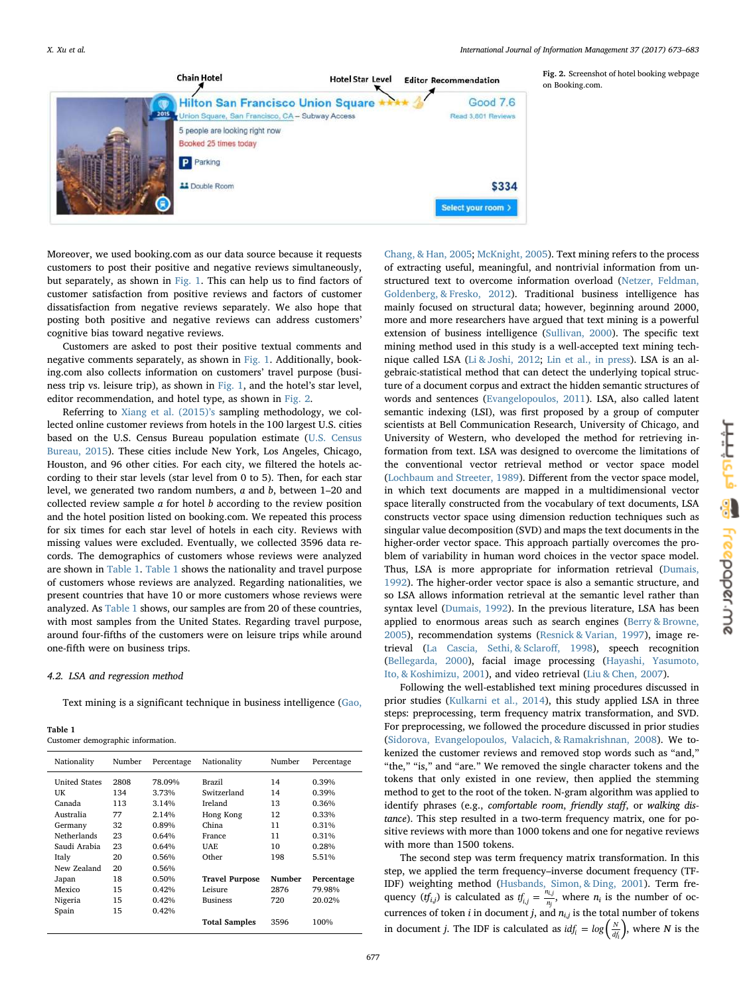<span id="page-4-0"></span>

Fig. 2. Screenshot of hotel booking webpage on Booking.com.

Moreover, we used booking.com as our data source because it requests customers to post their positive and negative reviews simultaneously, but separately, as shown in [Fig. 1](#page-3-1). This can help us to find factors of customer satisfaction from positive reviews and factors of customer dissatisfaction from negative reviews separately. We also hope that posting both positive and negative reviews can address customers' cognitive bias toward negative reviews.

Customers are asked to post their positive textual comments and negative comments separately, as shown in [Fig. 1](#page-3-1). Additionally, booking.com also collects information on customers' travel purpose (business trip vs. leisure trip), as shown in [Fig. 1](#page-3-1), and the hotel's star level, editor recommendation, and hotel type, as shown in [Fig. 2](#page-4-0).

Referring to [Xiang et al. \(2015\)](#page-10-6)'s sampling methodology, we collected online customer reviews from hotels in the 100 largest U.S. cities based on the U.S. Census Bureau population estimate ([U.S. Census](#page-10-32) [Bureau, 2015](#page-10-32)). These cities include New York, Los Angeles, Chicago, Houston, and 96 other cities. For each city, we filtered the hotels according to their star levels (star level from 0 to 5). Then, for each star level, we generated two random numbers, a and b, between 1–20 and collected review sample  $a$  for hotel  $b$  according to the review position and the hotel position listed on booking.com. We repeated this process for six times for each star level of hotels in each city. Reviews with missing values were excluded. Eventually, we collected 3596 data records. The demographics of customers whose reviews were analyzed are shown in [Table 1.](#page-4-1) [Table 1](#page-4-1) shows the nationality and travel purpose of customers whose reviews are analyzed. Regarding nationalities, we present countries that have 10 or more customers whose reviews were analyzed. As [Table 1](#page-4-1) shows, our samples are from 20 of these countries, with most samples from the United States. Regarding travel purpose, around four-fifths of the customers were on leisure trips while around one-fifth were on business trips.

# 4.2. LSA and regression method

Text mining is a significant technique in business intelligence ([Gao,](#page-9-32)

<span id="page-4-1"></span>

| Table 1 |                                  |  |
|---------|----------------------------------|--|
|         | Customer demographic information |  |

| Nationality          | Number |        | Nationality<br>Percentage |        | Percentage |
|----------------------|--------|--------|---------------------------|--------|------------|
|                      |        |        |                           | Number |            |
| <b>United States</b> | 2808   | 78.09% | Brazil                    | 14     | 0.39%      |
| UK                   | 134    | 3.73%  | Switzerland               | 14     | 0.39%      |
| Canada               | 113    | 3.14%  | Ireland                   | 13     | 0.36%      |
| Australia            | 77     | 2.14%  | Hong Kong                 | 12     | 0.33%      |
| Germany              | 32     | 0.89%  | China                     | 11     | 0.31%      |
| <b>Netherlands</b>   | 23     | 0.64%  | France                    | 11     | 0.31%      |
| Saudi Arabia         | 23     | 0.64%  | <b>UAE</b>                | 10     | 0.28%      |
| Italy                | 20     | 0.56%  | Other                     | 198    | 5.51%      |
| New Zealand          | 20     | 0.56%  |                           |        |            |
| Japan                | 18     | 0.50%  | <b>Travel Purpose</b>     | Number | Percentage |
| Mexico               | 15     | 0.42%  | Leisure                   | 2876   | 79.98%     |
| Nigeria              | 15     | 0.42%  | <b>Business</b>           | 720    | 20.02%     |
| Spain                | 15     | 0.42%  |                           |        |            |
|                      |        |        | <b>Total Samples</b>      | 3596   | 100%       |

[Chang, & Han, 2005](#page-9-32); [McKnight, 2005\)](#page-10-33). Text mining refers to the process of extracting useful, meaningful, and nontrivial information from unstructured text to overcome information overload ([Netzer, Feldman,](#page-10-34) [Goldenberg, & Fresko, 2012\)](#page-10-34). Traditional business intelligence has mainly focused on structural data; however, beginning around 2000, more and more researchers have argued that text mining is a powerful extension of business intelligence [\(Sullivan, 2000](#page-10-35)). The specific text mining method used in this study is a well-accepted text mining technique called LSA ([Li & Joshi, 2012;](#page-9-33) [Lin et al., in press\)](#page-9-34). LSA is an algebraic-statistical method that can detect the underlying topical structure of a document corpus and extract the hidden semantic structures of words and sentences [\(Evangelopoulos,](#page-9-35) 2011). LSA, also called latent semantic indexing (LSI), was first proposed by a group of computer scientists at Bell Communication Research, University of Chicago, and University of Western, who developed the method for retrieving information from text. LSA was designed to overcome the limitations of the conventional vector retrieval method or vector space model ([Lochbaum and Streeter, 1989\)](#page-9-36). Different from the vector space model, in which text documents are mapped in a multidimensional vector space literally constructed from the vocabulary of text documents, LSA constructs vector space using dimension reduction techniques such as singular value decomposition (SVD) and maps the text documents in the higher-order vector space. This approach partially overcomes the problem of variability in human word choices in the vector space model. Thus, LSA is more appropriate for information retrieval ([Dumais,](#page-9-37) [1992\)](#page-9-37). The higher-order vector space is also a semantic structure, and so LSA allows information retrieval at the semantic level rather than syntax level [\(Dumais, 1992](#page-9-37)). In the previous literature, LSA has been applied to enormous areas such as search engines ([Berry & Browne,](#page-9-38) [2005\)](#page-9-38), recommendation systems ([Resnick & Varian, 1997](#page-10-36)), image retrieval [\(La Cascia, Sethi, & Sclaro](#page-9-39)ff, 1998), speech recognition ([Bellegarda, 2000](#page-9-40)), facial image processing ([Hayashi, Yasumoto,](#page-9-41) [Ito, & Koshimizu, 2001](#page-9-41)), and video retrieval [\(Liu & Chen, 2007\)](#page-9-42).

Following the well-established text mining procedures discussed in prior studies [\(Kulkarni et al., 2014\)](#page-9-6), this study applied LSA in three steps: preprocessing, term frequency matrix transformation, and SVD. For preprocessing, we followed the procedure discussed in prior studies ([Sidorova, Evangelopoulos, Valacich, & Ramakrishnan, 2008\)](#page-10-37). We tokenized the customer reviews and removed stop words such as "and," "the," "is," and "are." We removed the single character tokens and the tokens that only existed in one review, then applied the stemming method to get to the root of the token. N-gram algorithm was applied to identify phrases (e.g., comfortable room, friendly staff, or walking distance). This step resulted in a two-term frequency matrix, one for positive reviews with more than 1000 tokens and one for negative reviews with more than 1500 tokens.

The second step was term frequency matrix transformation. In this step, we applied the term frequency–inverse document frequency (TF-IDF) weighting method [\(Husbands, Simon, & Ding, 2001\)](#page-9-43). Term frequency ( $tf_{i,j}$ ) is calculated as  $tf_{i,j} = \frac{n_{i,j}}{n_i}$ *j*  $\frac{1}{n}$ , where  $n_i$  is the number of occurrences of token i in document j, and  $n_{i,j}$  is the total number of tokens in document *j*. The IDF is calculated as  $idf_i = log(\frac{N}{df_i})$ , where *N* is the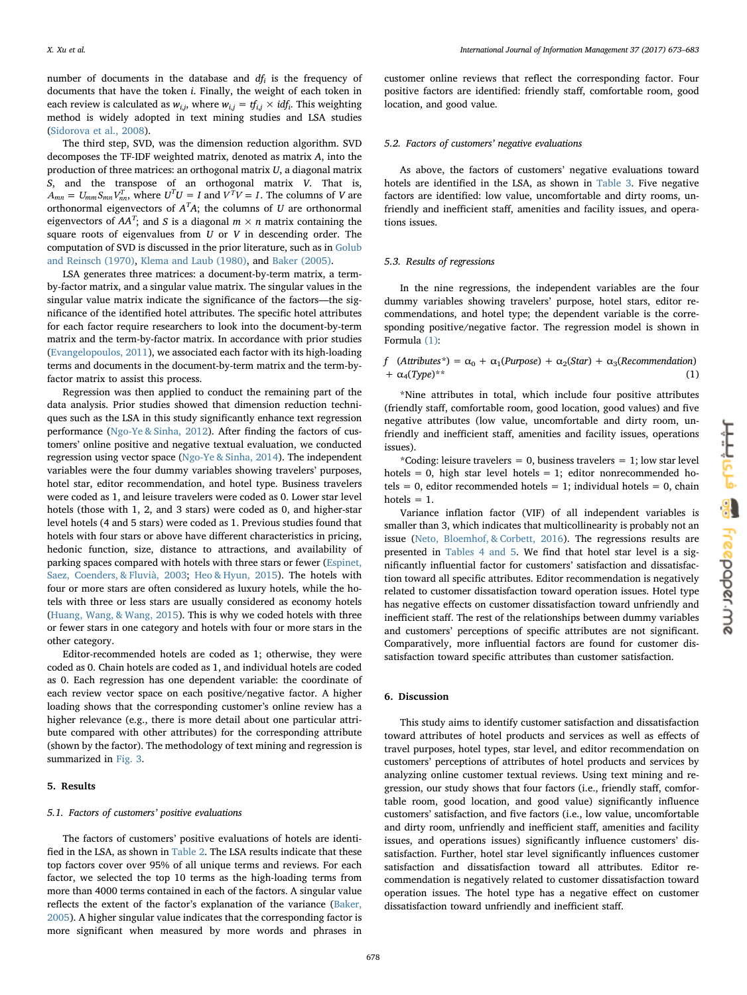X. Xu et al. *International Journal of Information Management 37 (2017) 673–683*

number of documents in the database and  $df_i$  is the frequency of documents that have the token i. Finally, the weight of each token in each review is calculated as  $w_{i,j}$ , where  $w_{i,j} = tf_{i,j} \times idf_i$ . This weighting method is widely adopted in text mining studies and LSA studies ([Sidorova et al., 2008](#page-10-37)).

The third step, SVD, was the dimension reduction algorithm. SVD decomposes the TF-IDF weighted matrix, denoted as matrix A, into the production of three matrices: an orthogonal matrix U, a diagonal matrix S, and the transpose of an orthogonal matrix V. That is,  $A_{mn} = U_{mm} S_{mn} V_{nn}^T$ , where  $U^T U = I$  and  $V^T V = I$ . The columns of *V* are orthonormal eigenvectors of  $A<sup>T</sup>A$ ; the columns of U are orthonormal eigenvectors of  $AA^T$ ; and S is a diagonal  $m\times n$  matrix containing the square roots of eigenvalues from  $U$  or  $V$  in descending order. The computation of SVD is discussed in the prior literature, such as in [Golub](#page-9-44) [and Reinsch \(1970\)](#page-9-44), [Klema and Laub \(1980\),](#page-9-45) and [Baker \(2005\)](#page-9-46).

LSA generates three matrices: a document-by-term matrix, a termby-factor matrix, and a singular value matrix. The singular values in the singular value matrix indicate the significance of the factors—the significance of the identified hotel attributes. The specific hotel attributes for each factor require researchers to look into the document-by-term matrix and the term-by-factor matrix. In accordance with prior studies ([Evangelopoulos, 2011](#page-9-35)), we associated each factor with its high-loading terms and documents in the document-by-term matrix and the term-byfactor matrix to assist this process.

Regression was then applied to conduct the remaining part of the data analysis. Prior studies showed that dimension reduction techniques such as the LSA in this study significantly enhance text regression performance [\(Ngo-Ye & Sinha, 2012\)](#page-10-38). After finding the factors of customers' online positive and negative textual evaluation, we conducted regression using vector space [\(Ngo-Ye & Sinha, 2014\)](#page-10-39). The independent variables were the four dummy variables showing travelers' purposes, hotel star, editor recommendation, and hotel type. Business travelers were coded as 1, and leisure travelers were coded as 0. Lower star level hotels (those with 1, 2, and 3 stars) were coded as 0, and higher-star level hotels (4 and 5 stars) were coded as 1. Previous studies found that hotels with four stars or above have different characteristics in pricing, hedonic function, size, distance to attractions, and availability of parking spaces compared with hotels with three stars or fewer ([Espinet,](#page-9-47) [Saez, Coenders, & Fluvià, 2003;](#page-9-47) [Heo & Hyun, 2015](#page-9-23)). The hotels with four or more stars are often considered as luxury hotels, while the hotels with three or less stars are usually considered as economy hotels ([Huang, Wang, & Wang, 2015](#page-9-48)). This is why we coded hotels with three or fewer stars in one category and hotels with four or more stars in the other category.

Editor-recommended hotels are coded as 1; otherwise, they were coded as 0. Chain hotels are coded as 1, and individual hotels are coded as 0. Each regression has one dependent variable: the coordinate of each review vector space on each positive/negative factor. A higher loading shows that the corresponding customer's online review has a higher relevance (e.g., there is more detail about one particular attribute compared with other attributes) for the corresponding attribute (shown by the factor). The methodology of text mining and regression is summarized in [Fig. 3](#page-6-0).

### <span id="page-5-0"></span>5. Results

# 5.1. Factors of customers' positive evaluations

The factors of customers' positive evaluations of hotels are identified in the LSA, as shown in [Table](#page-6-1) 2. The LSA results indicate that these top factors cover over 95% of all unique terms and reviews. For each factor, we selected the top 10 terms as the high-loading terms from more than 4000 terms contained in each of the factors. A singular value reflects the extent of the factor's explanation of the variance [\(Baker,](#page-9-46) [2005\)](#page-9-46). A higher singular value indicates that the corresponding factor is more significant when measured by more words and phrases in

customer online reviews that reflect the corresponding factor. Four positive factors are identified: friendly staff, comfortable room, good location, and good value.

#### 5.2. Factors of customers' negative evaluations

As above, the factors of customers' negative evaluations toward hotels are identified in the LSA, as shown in [Table 3](#page-7-1). Five negative factors are identified: low value, uncomfortable and dirty rooms, unfriendly and inefficient staff, amenities and facility issues, and operations issues.

### 5.3. Results of regressions

In the nine regressions, the independent variables are the four dummy variables showing travelers' purpose, hotel stars, editor recommendations, and hotel type; the dependent variable is the corresponding positive/negative factor. The regression model is shown in Formula [\(1\)](#page-5-2):

# <span id="page-5-2"></span>f (Attributes\*) =  $\alpha_0 + \alpha_1$ (Purpose) +  $\alpha_2$ (Star) +  $\alpha_3$ (Recommendation)  $+\alpha_4(Tvpe)^{**}$  (1)

\*Nine attributes in total, which include four positive attributes (friendly staff, comfortable room, good location, good values) and five negative attributes (low value, uncomfortable and dirty room, unfriendly and inefficient staff, amenities and facility issues, operations issues).

\*Coding: leisure travelers = 0, business travelers = 1; low star level hotels = 0, high star level hotels = 1; editor nonrecommended hotels = 0, editor recommended hotels = 1; individual hotels = 0, chain hotels  $= 1$ .

Variance inflation factor (VIF) of all independent variables is smaller than 3, which indicates that multicollinearity is probably not an issue ([Neto, Bloemhof, & Corbett, 2016](#page-10-40)). The regressions results are presented in [Tables 4 and 5.](#page-7-2) We find that hotel star level is a significantly influential factor for customers' satisfaction and dissatisfaction toward all specific attributes. Editor recommendation is negatively related to customer dissatisfaction toward operation issues. Hotel type has negative effects on customer dissatisfaction toward unfriendly and inefficient staff. The rest of the relationships between dummy variables and customers' perceptions of specific attributes are not significant. Comparatively, more influential factors are found for customer dissatisfaction toward specific attributes than customer satisfaction.

# <span id="page-5-1"></span>6. Discussion

This study aims to identify customer satisfaction and dissatisfaction toward attributes of hotel products and services as well as effects of travel purposes, hotel types, star level, and editor recommendation on customers' perceptions of attributes of hotel products and services by analyzing online customer textual reviews. Using text mining and regression, our study shows that four factors (i.e., friendly staff, comfortable room, good location, and good value) significantly influence customers' satisfaction, and five factors (i.e., low value, uncomfortable and dirty room, unfriendly and inefficient staff, amenities and facility issues, and operations issues) significantly influence customers' dissatisfaction. Further, hotel star level significantly influences customer satisfaction and dissatisfaction toward all attributes. Editor recommendation is negatively related to customer dissatisfaction toward operation issues. The hotel type has a negative effect on customer dissatisfaction toward unfriendly and inefficient staff.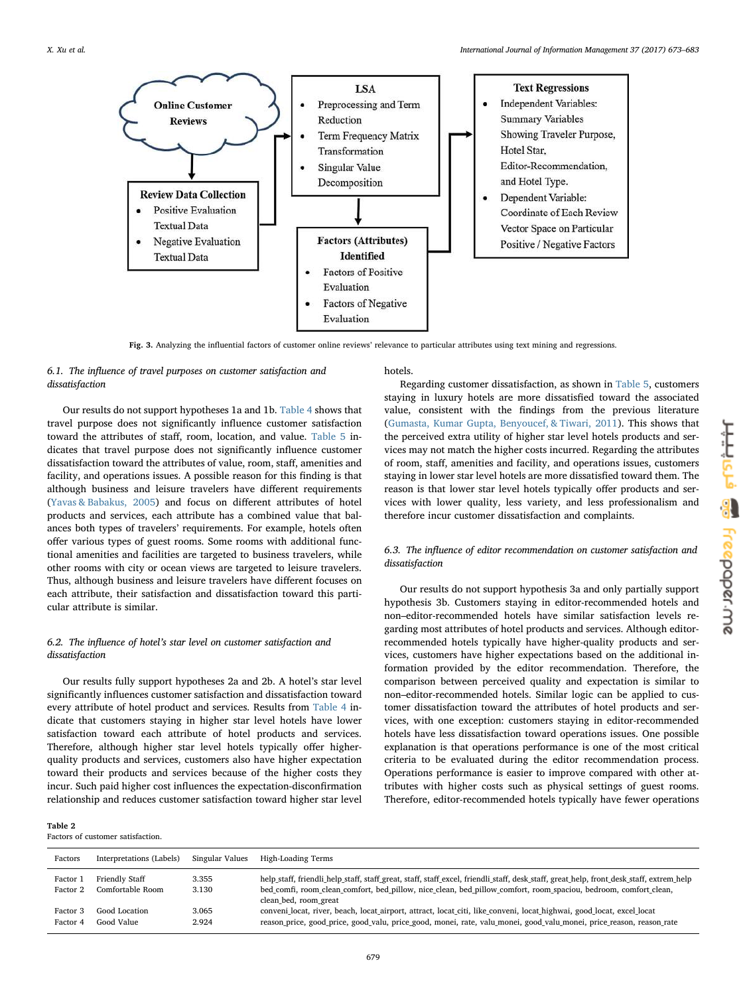<span id="page-6-0"></span>

Fig. 3. Analyzing the influential factors of customer online reviews' relevance to particular attributes using text mining and regressions.

# 6.1. The influence of travel purposes on customer satisfaction and dissatisfaction

Our results do not support hypotheses 1a and 1b. [Table 4](#page-7-2) shows that travel purpose does not significantly influence customer satisfaction toward the attributes of staff, room, location, and value. [Table 5](#page-8-0) indicates that travel purpose does not significantly influence customer dissatisfaction toward the attributes of value, room, staff, amenities and facility, and operations issues. A possible reason for this finding is that although business and leisure travelers have different requirements ([Yavas & Babakus, 2005\)](#page-10-23) and focus on different attributes of hotel products and services, each attribute has a combined value that balances both types of travelers' requirements. For example, hotels often offer various types of guest rooms. Some rooms with additional functional amenities and facilities are targeted to business travelers, while other rooms with city or ocean views are targeted to leisure travelers. Thus, although business and leisure travelers have different focuses on each attribute, their satisfaction and dissatisfaction toward this particular attribute is similar.

# 6.2. The influence of hotel's star level on customer satisfaction and dissatisfaction

Our results fully support hypotheses 2a and 2b. A hotel's star level significantly influences customer satisfaction and dissatisfaction toward every attribute of hotel product and services. Results from [Table 4](#page-7-2) indicate that customers staying in higher star level hotels have lower satisfaction toward each attribute of hotel products and services. Therefore, although higher star level hotels typically offer higherquality products and services, customers also have higher expectation toward their products and services because of the higher costs they incur. Such paid higher cost influences the expectation-disconfirmation relationship and reduces customer satisfaction toward higher star level

### <span id="page-6-1"></span>Table 2

Factors of customer satisfaction.

# hotels.

Regarding customer dissatisfaction, as shown in [Table 5,](#page-8-0) customers staying in luxury hotels are more dissatisfied toward the associated value, consistent with the findings from the previous literature ([Gumasta, Kumar Gupta, Benyoucef, & Tiwari, 2011\)](#page-9-49). This shows that the perceived extra utility of higher star level hotels products and services may not match the higher costs incurred. Regarding the attributes of room, staff, amenities and facility, and operations issues, customers staying in lower star level hotels are more dissatisfied toward them. The reason is that lower star level hotels typically offer products and services with lower quality, less variety, and less professionalism and therefore incur customer dissatisfaction and complaints.

# 6.3. The influence of editor recommendation on customer satisfaction and dissatisfaction

Our results do not support hypothesis 3a and only partially support hypothesis 3b. Customers staying in editor-recommended hotels and non–editor-recommended hotels have similar satisfaction levels regarding most attributes of hotel products and services. Although editorrecommended hotels typically have higher-quality products and services, customers have higher expectations based on the additional information provided by the editor recommendation. Therefore, the comparison between perceived quality and expectation is similar to non–editor-recommended hotels. Similar logic can be applied to customer dissatisfaction toward the attributes of hotel products and services, with one exception: customers staying in editor-recommended hotels have less dissatisfaction toward operations issues. One possible explanation is that operations performance is one of the most critical criteria to be evaluated during the editor recommendation process. Operations performance is easier to improve compared with other attributes with higher costs such as physical settings of guest rooms. Therefore, editor-recommended hotels typically have fewer operations

| Factors              | Interpretations (Labels)           | Singular Values | High-Loading Terms                                                                                                                                                                                                                                                                   |
|----------------------|------------------------------------|-----------------|--------------------------------------------------------------------------------------------------------------------------------------------------------------------------------------------------------------------------------------------------------------------------------------|
| Factor 1<br>Factor 2 | Friendly Staff<br>Comfortable Room | 3.355<br>3.130  | help staff, friendli help staff, staff great, staff, staff excel, friendli staff, desk staff, great help, front desk staff, extrem help<br>bed_comfi, room_clean_comfort, bed_pillow, nice_clean, bed_pillow_comfort, room_spaciou, bedroom, comfort_clean,<br>clean_bed, room_great |
| Factor 3<br>Factor 4 | Good Location<br>Good Value        | 3.065<br>2.924  | conveni locat, river, beach, locat airport, attract, locat citi, like conveni, locat highwai, good locat, excel locat<br>reason_price, good_price, good_valu, price_good, monei, rate, valu_monei, good_valu_monei, price_reason, reason_rate                                        |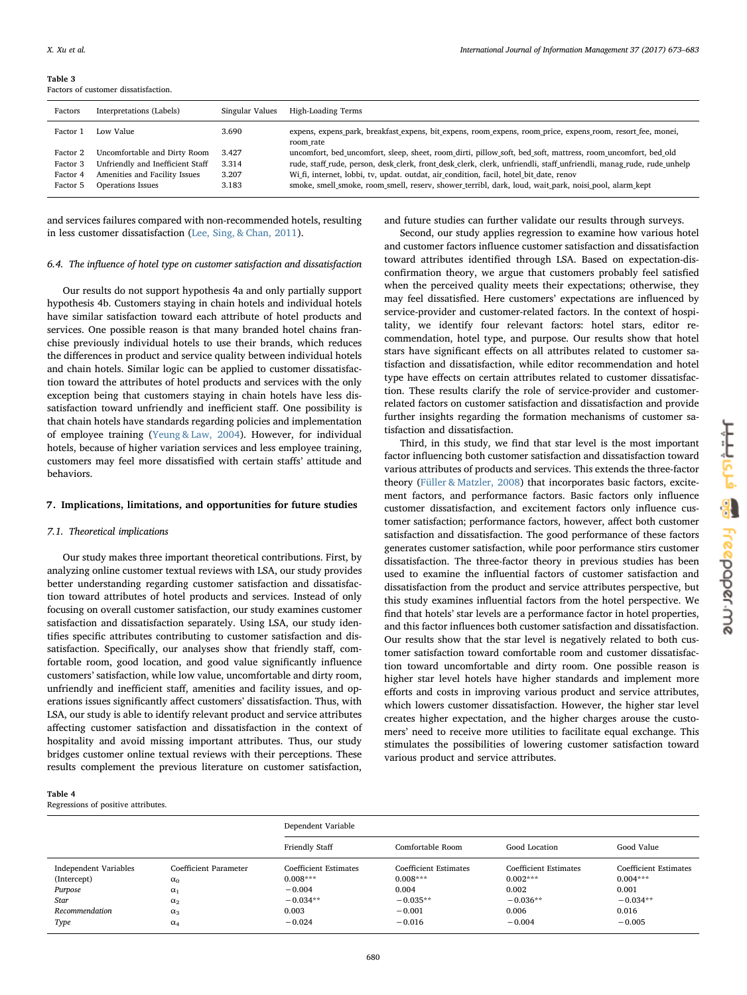<span id="page-7-1"></span>Table 3 Factors of customer dissatisfaction.

| Factors  | Interpretations (Labels)         | Singular Values | High-Loading Terms                                                                                                       |
|----------|----------------------------------|-----------------|--------------------------------------------------------------------------------------------------------------------------|
| Factor 1 | Low Value                        | 3.690           | expens, expens_park, breakfast_expens, bit_expens, room_expens, room_price, expens_room, resort_fee, monei,<br>room rate |
| Factor 2 | Uncomfortable and Dirty Room     | 3.427           | uncomfort, bed uncomfort, sleep, sheet, room dirti, pillow soft, bed soft, mattress, room uncomfort, bed old             |
| Factor 3 | Unfriendly and Inefficient Staff | 3.314           | rude, staff rude, person, desk clerk, front desk clerk, clerk, unfriendli, staff unfriendli, manag rude, rude unhelp     |
| Factor 4 | Amenities and Facility Issues    | 3.207           | Wi fi, internet, lobbi, tv, updat. outdat, air condition, facil, hotel bit date, renov                                   |
| Factor 5 | Operations Issues                | 3.183           | smoke, smell smoke, room smell, reserv, shower terribl, dark, loud, wait park, noisi pool, alarm kept                    |
|          |                                  |                 |                                                                                                                          |

and services failures compared with non-recommended hotels, resulting in less customer dissatisfaction ([Lee, Sing, & Chan, 2011](#page-9-50)).

#### 6.4. The influence of hotel type on customer satisfaction and dissatisfaction

Our results do not support hypothesis 4a and only partially support hypothesis 4b. Customers staying in chain hotels and individual hotels have similar satisfaction toward each attribute of hotel products and services. One possible reason is that many branded hotel chains franchise previously individual hotels to use their brands, which reduces the differences in product and service quality between individual hotels and chain hotels. Similar logic can be applied to customer dissatisfaction toward the attributes of hotel products and services with the only exception being that customers staying in chain hotels have less dissatisfaction toward unfriendly and inefficient staff. One possibility is that chain hotels have standards regarding policies and implementation of employee training ([Yeung & Law, 2004](#page-10-28)). However, for individual hotels, because of higher variation services and less employee training, customers may feel more dissatisfied with certain staffs' attitude and behaviors.

## <span id="page-7-0"></span>7. Implications, limitations, and opportunities for future studies

# 7.1. Theoretical implications

Our study makes three important theoretical contributions. First, by analyzing online customer textual reviews with LSA, our study provides better understanding regarding customer satisfaction and dissatisfaction toward attributes of hotel products and services. Instead of only focusing on overall customer satisfaction, our study examines customer satisfaction and dissatisfaction separately. Using LSA, our study identifies specific attributes contributing to customer satisfaction and dissatisfaction. Specifically, our analyses show that friendly staff, comfortable room, good location, and good value significantly influence customers' satisfaction, while low value, uncomfortable and dirty room, unfriendly and inefficient staff, amenities and facility issues, and operations issues significantly affect customers' dissatisfaction. Thus, with LSA, our study is able to identify relevant product and service attributes affecting customer satisfaction and dissatisfaction in the context of hospitality and avoid missing important attributes. Thus, our study bridges customer online textual reviews with their perceptions. These results complement the previous literature on customer satisfaction,

and future studies can further validate our results through surveys.

Second, our study applies regression to examine how various hotel and customer factors influence customer satisfaction and dissatisfaction toward attributes identified through LSA. Based on expectation-disconfirmation theory, we argue that customers probably feel satisfied when the perceived quality meets their expectations; otherwise, they may feel dissatisfied. Here customers' expectations are influenced by service-provider and customer-related factors. In the context of hospitality, we identify four relevant factors: hotel stars, editor recommendation, hotel type, and purpose. Our results show that hotel stars have significant effects on all attributes related to customer satisfaction and dissatisfaction, while editor recommendation and hotel type have effects on certain attributes related to customer dissatisfaction. These results clarify the role of service-provider and customerrelated factors on customer satisfaction and dissatisfaction and provide further insights regarding the formation mechanisms of customer satisfaction and dissatisfaction.

Third, in this study, we find that star level is the most important factor influencing both customer satisfaction and dissatisfaction toward various attributes of products and services. This extends the three-factor theory [\(Füller & Matzler, 2008\)](#page-9-51) that incorporates basic factors, excitement factors, and performance factors. Basic factors only influence customer dissatisfaction, and excitement factors only influence customer satisfaction; performance factors, however, affect both customer satisfaction and dissatisfaction. The good performance of these factors generates customer satisfaction, while poor performance stirs customer dissatisfaction. The three-factor theory in previous studies has been used to examine the influential factors of customer satisfaction and dissatisfaction from the product and service attributes perspective, but this study examines influential factors from the hotel perspective. We find that hotels' star levels are a performance factor in hotel properties, and this factor influences both customer satisfaction and dissatisfaction. Our results show that the star level is negatively related to both customer satisfaction toward comfortable room and customer dissatisfaction toward uncomfortable and dirty room. One possible reason is higher star level hotels have higher standards and implement more efforts and costs in improving various product and service attributes, which lowers customer dissatisfaction. However, the higher star level creates higher expectation, and the higher charges arouse the customers' need to receive more utilities to facilitate equal exchange. This stimulates the possibilities of lowering customer satisfaction toward various product and service attributes.

<span id="page-7-2"></span>

| ш |  |
|---|--|
|   |  |

Regressions of positive attributes.

|                       |                       | Dependent Variable           |                              |                              |                              |
|-----------------------|-----------------------|------------------------------|------------------------------|------------------------------|------------------------------|
|                       |                       | Friendly Staff               | Comfortable Room             | Good Location                | Good Value                   |
| Independent Variables | Coefficient Parameter | <b>Coefficient Estimates</b> | <b>Coefficient Estimates</b> | <b>Coefficient Estimates</b> | <b>Coefficient Estimates</b> |
| (Intercept)           | $\alpha_0$            | $0.008***$                   | $0.008***$                   | $0.002***$                   | $0.004***$                   |
| Purpose               | $\alpha_1$            | $-0.004$                     | 0.004                        | 0.002                        | 0.001                        |
| Star                  | $\alpha_2$            | $-0.034**$                   | $-0.035**$                   | $-0.036**$                   | $-0.034**$                   |
| Recommendation        | $\alpha_3$            | 0.003                        | $-0.001$                     | 0.006                        | 0.016                        |
| Type                  | $\alpha_4$            | $-0.024$                     | $-0.016$                     | $-0.004$                     | $-0.005$                     |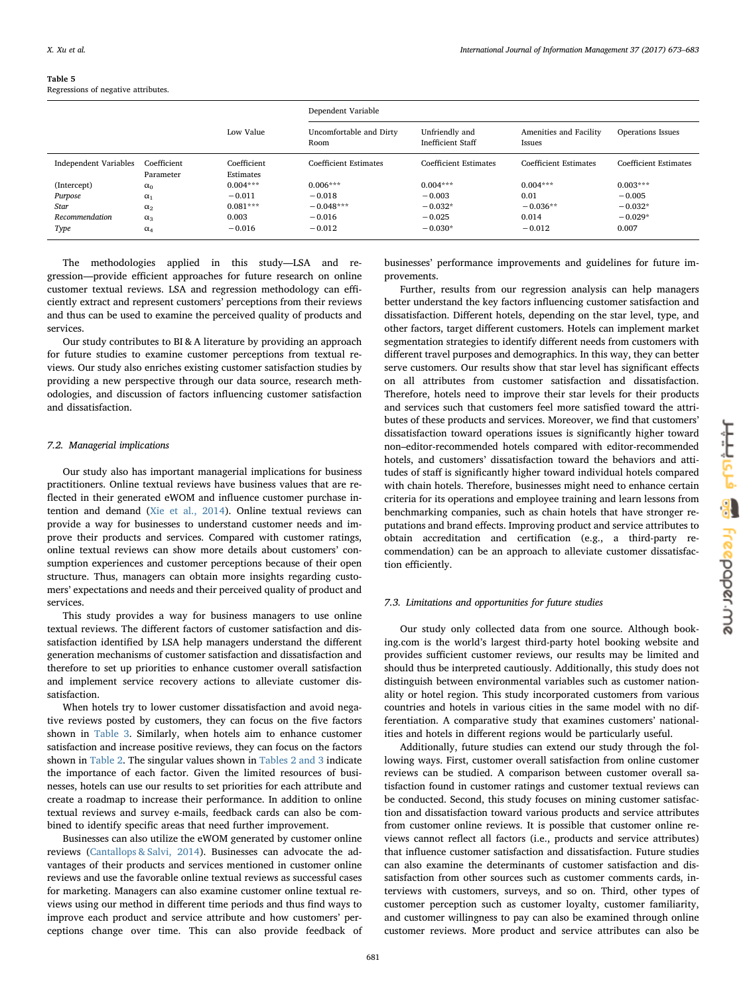<span id="page-8-0"></span>

| Table 5 |  |
|---------|--|
|         |  |

Regressions of negative attributes.

|                       |                          |                          | Dependent Variable              |                                            |                                  |                              |
|-----------------------|--------------------------|--------------------------|---------------------------------|--------------------------------------------|----------------------------------|------------------------------|
|                       |                          | Low Value                | Uncomfortable and Dirty<br>Room | Unfriendly and<br><b>Inefficient Staff</b> | Amenities and Facility<br>Issues | <b>Operations Issues</b>     |
| Independent Variables | Coefficient<br>Parameter | Coefficient<br>Estimates | Coefficient Estimates           | <b>Coefficient Estimates</b>               | Coefficient Estimates            | <b>Coefficient Estimates</b> |
| (Intercept)           | $\alpha_0$               | $0.004***$               | $0.006***$                      | $0.004***$                                 | $0.004***$                       | $0.003***$                   |
| Purpose               | $\alpha_1$               | $-0.011$                 | $-0.018$                        | $-0.003$                                   | 0.01                             | $-0.005$                     |
| Star                  | $\alpha_2$               | $0.081***$               | $-0.048***$                     | $-0.032*$                                  | $-0.036**$                       | $-0.032*$                    |
| Recommendation        | $\alpha_3$               | 0.003                    | $-0.016$                        | $-0.025$                                   | 0.014                            | $-0.029*$                    |
| Type                  | $\alpha_4$               | $-0.016$                 | $-0.012$                        | $-0.030*$                                  | $-0.012$                         | 0.007                        |

The methodologies applied in this study—LSA and regression—provide efficient approaches for future research on online customer textual reviews. LSA and regression methodology can efficiently extract and represent customers' perceptions from their reviews and thus can be used to examine the perceived quality of products and services.

Our study contributes to BI & A literature by providing an approach for future studies to examine customer perceptions from textual reviews. Our study also enriches existing customer satisfaction studies by providing a new perspective through our data source, research methodologies, and discussion of factors influencing customer satisfaction and dissatisfaction.

# 7.2. Managerial implications

Our study also has important managerial implications for business practitioners. Online textual reviews have business values that are reflected in their generated eWOM and influence customer purchase intention and demand ([Xie et al., 2014](#page-10-2)). Online textual reviews can provide a way for businesses to understand customer needs and improve their products and services. Compared with customer ratings, online textual reviews can show more details about customers' consumption experiences and customer perceptions because of their open structure. Thus, managers can obtain more insights regarding customers' expectations and needs and their perceived quality of product and services.

This study provides a way for business managers to use online textual reviews. The different factors of customer satisfaction and dissatisfaction identified by LSA help managers understand the different generation mechanisms of customer satisfaction and dissatisfaction and therefore to set up priorities to enhance customer overall satisfaction and implement service recovery actions to alleviate customer dissatisfaction.

When hotels try to lower customer dissatisfaction and avoid negative reviews posted by customers, they can focus on the five factors shown in [Table 3](#page-7-1). Similarly, when hotels aim to enhance customer satisfaction and increase positive reviews, they can focus on the factors shown in [Table 2.](#page-6-1) The singular values shown in [Tables 2 and 3](#page-6-1) indicate the importance of each factor. Given the limited resources of businesses, hotels can use our results to set priorities for each attribute and create a roadmap to increase their performance. In addition to online textual reviews and survey e-mails, feedback cards can also be combined to identify specific areas that need further improvement.

Businesses can also utilize the eWOM generated by customer online reviews ([Cantallops & Salvi, 2014](#page-9-14)). Businesses can advocate the advantages of their products and services mentioned in customer online reviews and use the favorable online textual reviews as successful cases for marketing. Managers can also examine customer online textual reviews using our method in different time periods and thus find ways to improve each product and service attribute and how customers' perceptions change over time. This can also provide feedback of businesses' performance improvements and guidelines for future improvements.

Further, results from our regression analysis can help managers better understand the key factors influencing customer satisfaction and dissatisfaction. Different hotels, depending on the star level, type, and other factors, target different customers. Hotels can implement market segmentation strategies to identify different needs from customers with different travel purposes and demographics. In this way, they can better serve customers. Our results show that star level has significant effects on all attributes from customer satisfaction and dissatisfaction. Therefore, hotels need to improve their star levels for their products and services such that customers feel more satisfied toward the attributes of these products and services. Moreover, we find that customers' dissatisfaction toward operations issues is significantly higher toward non–editor-recommended hotels compared with editor-recommended hotels, and customers' dissatisfaction toward the behaviors and attitudes of staff is significantly higher toward individual hotels compared with chain hotels. Therefore, businesses might need to enhance certain criteria for its operations and employee training and learn lessons from benchmarking companies, such as chain hotels that have stronger reputations and brand effects. Improving product and service attributes to obtain accreditation and certification (e.g., a third-party recommendation) can be an approach to alleviate customer dissatisfaction efficiently.

## 7.3. Limitations and opportunities for future studies

Our study only collected data from one source. Although booking.com is the world's largest third-party hotel booking website and provides sufficient customer reviews, our results may be limited and should thus be interpreted cautiously. Additionally, this study does not distinguish between environmental variables such as customer nationality or hotel region. This study incorporated customers from various countries and hotels in various cities in the same model with no differentiation. A comparative study that examines customers' nationalities and hotels in different regions would be particularly useful.

Additionally, future studies can extend our study through the following ways. First, customer overall satisfaction from online customer reviews can be studied. A comparison between customer overall satisfaction found in customer ratings and customer textual reviews can be conducted. Second, this study focuses on mining customer satisfaction and dissatisfaction toward various products and service attributes from customer online reviews. It is possible that customer online reviews cannot reflect all factors (i.e., products and service attributes) that influence customer satisfaction and dissatisfaction. Future studies can also examine the determinants of customer satisfaction and dissatisfaction from other sources such as customer comments cards, interviews with customers, surveys, and so on. Third, other types of customer perception such as customer loyalty, customer familiarity, and customer willingness to pay can also be examined through online customer reviews. More product and service attributes can also be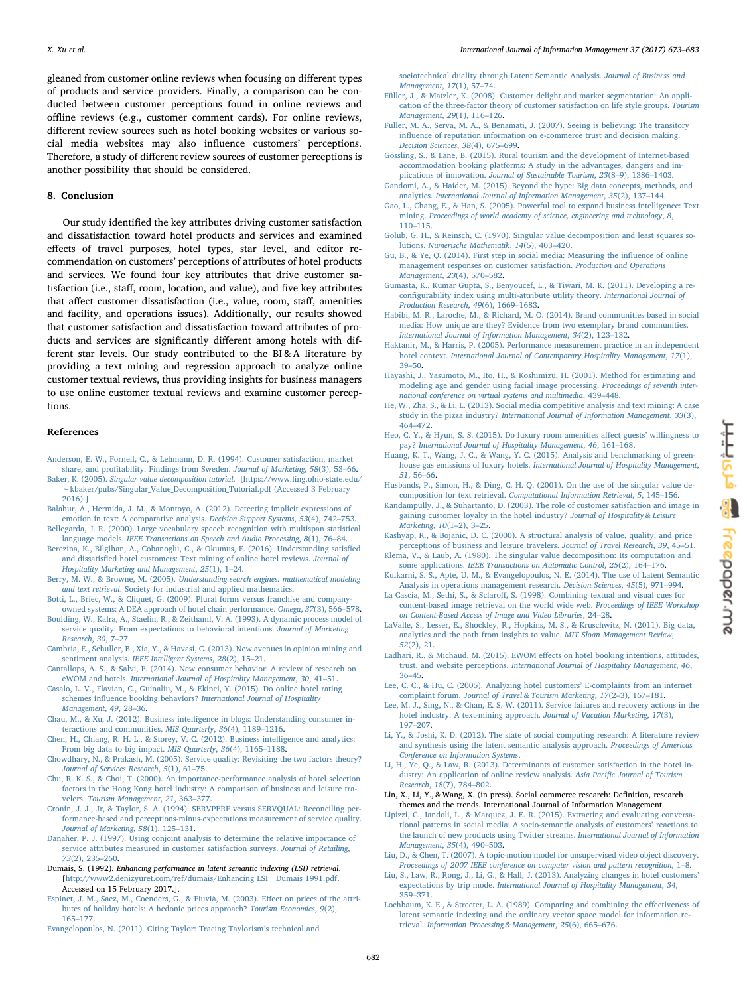gleaned from customer online reviews when focusing on different types of products and service providers. Finally, a comparison can be conducted between customer perceptions found in online reviews and offline reviews (e.g., customer comment cards). For online reviews, different review sources such as hotel booking websites or various social media websites may also influence customers' perceptions. Therefore, a study of different review sources of customer perceptions is another possibility that should be considered.

# <span id="page-9-7"></span>8. Conclusion

Our study identified the key attributes driving customer satisfaction and dissatisfaction toward hotel products and services and examined effects of travel purposes, hotel types, star level, and editor recommendation on customers' perceptions of attributes of hotel products and services. We found four key attributes that drive customer satisfaction (i.e., staff, room, location, and value), and five key attributes that affect customer dissatisfaction (i.e., value, room, staff, amenities and facility, and operations issues). Additionally, our results showed that customer satisfaction and dissatisfaction toward attributes of products and services are significantly different among hotels with different star levels. Our study contributed to the BI & A literature by providing a text mining and regression approach to analyze online customer textual reviews, thus providing insights for business managers to use online customer textual reviews and examine customer perceptions.

#### References

- <span id="page-9-22"></span>[Anderson, E. W., Fornell, C., & Lehmann, D. R. \(1994\). Customer satisfaction, market](http://refhub.elsevier.com/S0268-4012(17)30137-8/sbref0005) share, and profi[tability: Findings from Sweden.](http://refhub.elsevier.com/S0268-4012(17)30137-8/sbref0005) Journal of Marketing, 58(3), 53–66.
- <span id="page-9-46"></span>Baker, K. (2005). Singular value decomposition tutorial[. \[https://www.ling.ohio-state.edu/](http://refhub.elsevier.com/S0268-4012(17)30137-8/sbref0010) ∼[kbaker/pubs/Singular\\_Value\\_Decomposition\\_Tutorial.pdf \(Accessed 3 February](http://refhub.elsevier.com/S0268-4012(17)30137-8/sbref0010) [2016\).\].](http://refhub.elsevier.com/S0268-4012(17)30137-8/sbref0010)
- <span id="page-9-4"></span>[Balahur, A., Hermida, J. M., & Montoyo, A. \(2012\). Detecting implicit expressions of](http://refhub.elsevier.com/S0268-4012(17)30137-8/sbref0015) [emotion in text: A comparative analysis.](http://refhub.elsevier.com/S0268-4012(17)30137-8/sbref0015) Decision Support Systems, 53(4), 742–753.
- <span id="page-9-40"></span>[Bellegarda, J. R. \(2000\). Large vocabulary speech recognition with multispan statistical](http://refhub.elsevier.com/S0268-4012(17)30137-8/sbref0020) language models. [IEEE Transactions on Speech and Audio Processing](http://refhub.elsevier.com/S0268-4012(17)30137-8/sbref0020), 8(1), 76–84.
- <span id="page-9-2"></span>[Berezina, K., Bilgihan, A., Cobanoglu, C., & Okumus, F. \(2016\). Understanding satis](http://refhub.elsevier.com/S0268-4012(17)30137-8/sbref0025)fied and dissatisfi[ed hotel customers: Text mining of online hotel reviews.](http://refhub.elsevier.com/S0268-4012(17)30137-8/sbref0025) Journal of [Hospitality Marketing and Management](http://refhub.elsevier.com/S0268-4012(17)30137-8/sbref0025), 25(1), 1–24.
- <span id="page-9-38"></span>Berry, M. W., & Browne, M. (2005). [Understanding search engines: mathematical modeling](http://refhub.elsevier.com/S0268-4012(17)30137-8/sbref0030) and text retrieval[. Society for industrial and applied mathematics.](http://refhub.elsevier.com/S0268-4012(17)30137-8/sbref0030)
- <span id="page-9-27"></span>[Botti, L., Briec, W., & Cliquet, G. \(2009\). Plural forms versus franchise and company](http://refhub.elsevier.com/S0268-4012(17)30137-8/sbref0035)[owned systems: A DEA approach of hotel chain performance.](http://refhub.elsevier.com/S0268-4012(17)30137-8/sbref0035) Omega, 37(3), 566–578.
- <span id="page-9-18"></span>[Boulding, W., Kalra, A., Staelin, R., & Zeithaml, V. A. \(1993\). A dynamic process model of](http://refhub.elsevier.com/S0268-4012(17)30137-8/sbref0040) [service quality: From expectations to behavioral intentions.](http://refhub.elsevier.com/S0268-4012(17)30137-8/sbref0040) Journal of Marketing [Research](http://refhub.elsevier.com/S0268-4012(17)30137-8/sbref0040), 30, 7–27.
- <span id="page-9-16"></span>[Cambria, E., Schuller, B., Xia, Y., & Havasi, C. \(2013\). New avenues in opinion mining and](http://refhub.elsevier.com/S0268-4012(17)30137-8/sbref0045) sentiment analysis. [IEEE Intelligent Systems](http://refhub.elsevier.com/S0268-4012(17)30137-8/sbref0045), 28(2), 15-21.
- <span id="page-9-14"></span>[Cantallops, A. S., & Salvi, F. \(2014\). New consumer behavior: A review of research on](http://refhub.elsevier.com/S0268-4012(17)30137-8/sbref0050) eWOM and hotels. [International Journal of Hospitality Management](http://refhub.elsevier.com/S0268-4012(17)30137-8/sbref0050), 30, 41–51.
- <span id="page-9-24"></span>[Casalo, L. V., Flavian, C., Guinaliu, M., & Ekinci, Y. \(2015\). Do online hotel rating](http://refhub.elsevier.com/S0268-4012(17)30137-8/sbref0055) schemes influence booking behaviors? [International Journal of Hospitality](http://refhub.elsevier.com/S0268-4012(17)30137-8/sbref0055) [Management](http://refhub.elsevier.com/S0268-4012(17)30137-8/sbref0055), 49, 28–36.
- <span id="page-9-9"></span>Chau, [M., & Xu, J. \(2012\). Business intelligence in blogs: Understanding consumer in](http://refhub.elsevier.com/S0268-4012(17)30137-8/sbref0060)[teractions and communities.](http://refhub.elsevier.com/S0268-4012(17)30137-8/sbref0060) MIS Quarterly, 36(4), 1189–1216.
- <span id="page-9-8"></span>[Chen, H., Chiang, R. H. L., & Storey, V. C. \(2012\). Business intelligence and analytics:](http://refhub.elsevier.com/S0268-4012(17)30137-8/sbref0065) [From big data to big impact.](http://refhub.elsevier.com/S0268-4012(17)30137-8/sbref0065) MIS Quarterly, 36(4), 1165–1188.
- <span id="page-9-12"></span>[Chowdhary, N., & Prakash, M. \(2005\). Service quality: Revisiting the two factors theory?](http://refhub.elsevier.com/S0268-4012(17)30137-8/sbref0070) [Journal of Services Research](http://refhub.elsevier.com/S0268-4012(17)30137-8/sbref0070), 5(1), 61–75.
- <span id="page-9-19"></span>[Chu, R. K. S., & Choi, T. \(2000\). An importance-performance analysis of hotel selection](http://refhub.elsevier.com/S0268-4012(17)30137-8/sbref0075) [factors in the Hong Kong hotel industry: A comparison of business and leisure tra](http://refhub.elsevier.com/S0268-4012(17)30137-8/sbref0075)velers. [Tourism Management](http://refhub.elsevier.com/S0268-4012(17)30137-8/sbref0075), 21, 363–377.
- <span id="page-9-29"></span>[Cronin, J. J., Jr, & Taylor, S. A. \(1994\). SERVPERF versus SERVQUAL: Reconciling per](http://refhub.elsevier.com/S0268-4012(17)30137-8/sbref0080)[formance-based and perceptions-minus-expectations measurement of service quality.](http://refhub.elsevier.com/S0268-4012(17)30137-8/sbref0080) [Journal of Marketing](http://refhub.elsevier.com/S0268-4012(17)30137-8/sbref0080), 58(1), 125–131.
- <span id="page-9-30"></span>[Danaher, P. J. \(1997\). Using conjoint analysis to determine the relative importance of](http://refhub.elsevier.com/S0268-4012(17)30137-8/sbref0085) [service attributes measured in customer satisfaction surveys.](http://refhub.elsevier.com/S0268-4012(17)30137-8/sbref0085) Journal of Retailing, 73[\(2\), 235](http://refhub.elsevier.com/S0268-4012(17)30137-8/sbref0085)–260.
- <span id="page-9-37"></span>Dumais, S. (1992). Enhancing performance in latent semantic indexing (LSI) retrieval. [\[http://www2.denizyuret.com/ref/dumais/Enhancing\\_LSI\\_\\_\\_Dumais\\_1991.pdf](http://www2.denizyuret.com/ref/dumais/Enhancing_LSI___Dumais_1991.pdf). Accessed on 15 February 2017.].
- <span id="page-9-47"></span>[Espinet, J. M., Saez, M., Coenders, G., & Fluvià, M. \(2003\). E](http://refhub.elsevier.com/S0268-4012(17)30137-8/sbref0095)ffect on prices of the attri[butes of holiday hotels: A hedonic prices approach?](http://refhub.elsevier.com/S0268-4012(17)30137-8/sbref0095) Tourism Economics, 9(2), 165–[177](http://refhub.elsevier.com/S0268-4012(17)30137-8/sbref0095).
- <span id="page-9-35"></span>[Evangelopoulos, N. \(2011\). Citing Taylor: Tracing Taylorism](http://refhub.elsevier.com/S0268-4012(17)30137-8/sbref0100)'s technical and

[sociotechnical duality through Latent Semantic Analysis.](http://refhub.elsevier.com/S0268-4012(17)30137-8/sbref0100) Journal of Business and [Management](http://refhub.elsevier.com/S0268-4012(17)30137-8/sbref0100), 17(1), 57–74.

- <span id="page-9-51"></span>[Füller, J., & Matzler, K. \(2008\). Customer delight and market segmentation: An appli](http://refhub.elsevier.com/S0268-4012(17)30137-8/sbref0105)[cation of the three-factor theory of customer satisfaction on life style groups.](http://refhub.elsevier.com/S0268-4012(17)30137-8/sbref0105) Tourism [Management](http://refhub.elsevier.com/S0268-4012(17)30137-8/sbref0105), 29(1), 116–126.
- <span id="page-9-25"></span>[Fuller, M. A., Serva, M. A., & Benamati, J. \(2007\). Seeing is believing: The transitory](http://refhub.elsevier.com/S0268-4012(17)30137-8/sbref0110) infl[uence of reputation information on e-commerce trust and decision making.](http://refhub.elsevier.com/S0268-4012(17)30137-8/sbref0110) Decision Sciences, 38[\(4\), 675](http://refhub.elsevier.com/S0268-4012(17)30137-8/sbref0110)–699.
- <span id="page-9-31"></span>[Gössling, S., & Lane, B. \(2015\). Rural tourism and the development of Internet-based](http://refhub.elsevier.com/S0268-4012(17)30137-8/sbref0115) [accommodation booking platforms: A study in the advantages, dangers and im-](http://refhub.elsevier.com/S0268-4012(17)30137-8/sbref0115)plications of innovation. [Journal of Sustainable Tourism](http://refhub.elsevier.com/S0268-4012(17)30137-8/sbref0115), 23(8-9), 1386-1403.
- <span id="page-9-3"></span>[Gandomi, A., & Haider, M. \(2015\). Beyond the hype: Big data concepts, methods, and](http://refhub.elsevier.com/S0268-4012(17)30137-8/sbref0120) analytics. [International Journal of Information Management](http://refhub.elsevier.com/S0268-4012(17)30137-8/sbref0120), 35(2), 137–144.
- <span id="page-9-32"></span>[Gao, L., Chang, E., & Han, S. \(2005\). Powerful tool to expand business intelligence: Text](http://refhub.elsevier.com/S0268-4012(17)30137-8/sbref0125) mining. [Proceedings of world academy of science, engineering and technology](http://refhub.elsevier.com/S0268-4012(17)30137-8/sbref0125), 8, 110–[115](http://refhub.elsevier.com/S0268-4012(17)30137-8/sbref0125).
- <span id="page-9-44"></span>[Golub, G. H., & Reinsch, C. \(1970\). Singular value decomposition and least squares so](http://refhub.elsevier.com/S0268-4012(17)30137-8/sbref0130)lutions. [Numerische Mathematik](http://refhub.elsevier.com/S0268-4012(17)30137-8/sbref0130), 14(5), 403–420.
- <span id="page-9-11"></span>[Gu, B., & Ye, Q. \(2014\). First step in social media: Measuring the in](http://refhub.elsevier.com/S0268-4012(17)30137-8/sbref0135)fluence of online [management responses on customer satisfaction.](http://refhub.elsevier.com/S0268-4012(17)30137-8/sbref0135) Production and Operations [Management](http://refhub.elsevier.com/S0268-4012(17)30137-8/sbref0135), 23(4), 570–582.
- <span id="page-9-49"></span>[Gumasta, K., Kumar Gupta, S., Benyoucef, L., & Tiwari, M. K. \(2011\). Developing a re](http://refhub.elsevier.com/S0268-4012(17)30137-8/sbref0140)confi[gurability index using multi-attribute utility theory.](http://refhub.elsevier.com/S0268-4012(17)30137-8/sbref0140) International Journal of [Production Research](http://refhub.elsevier.com/S0268-4012(17)30137-8/sbref0140), 49(6), 1669–1683.
- <span id="page-9-1"></span>[Habibi, M. R., Laroche, M., & Richard, M. O. \(2014\). Brand communities based in social](http://refhub.elsevier.com/S0268-4012(17)30137-8/sbref0145) [media: How unique are they? Evidence from two exemplary brand communities.](http://refhub.elsevier.com/S0268-4012(17)30137-8/sbref0145) [International Journal of Information Management](http://refhub.elsevier.com/S0268-4012(17)30137-8/sbref0145), 34(2), 123–132.
- <span id="page-9-28"></span>[Haktanir, M., & Harris, P. \(2005\). Performance measurement practice in an independent](http://refhub.elsevier.com/S0268-4012(17)30137-8/sbref0150) hotel context. [International Journal of Contemporary Hospitality Management](http://refhub.elsevier.com/S0268-4012(17)30137-8/sbref0150), 17(1), 39–[50](http://refhub.elsevier.com/S0268-4012(17)30137-8/sbref0150).
- <span id="page-9-41"></span>[Hayashi, J., Yasumoto, M., Ito, H., & Koshimizu, H. \(2001\). Method for estimating and](http://refhub.elsevier.com/S0268-4012(17)30137-8/sbref0155) [modeling age and gender using facial image processing.](http://refhub.elsevier.com/S0268-4012(17)30137-8/sbref0155) Proceedings of seventh inter[national conference on virtual systems and multimedia](http://refhub.elsevier.com/S0268-4012(17)30137-8/sbref0155), 439–448.
- <span id="page-9-10"></span>[He, W., Zha, S., & Li, L. \(2013\). Social media competitive analysis and text mining: A case](http://refhub.elsevier.com/S0268-4012(17)30137-8/sbref0160) study in the pizza industry? [International Journal of Information Management](http://refhub.elsevier.com/S0268-4012(17)30137-8/sbref0160), 33(3), 464–[472](http://refhub.elsevier.com/S0268-4012(17)30137-8/sbref0160).
- <span id="page-9-23"></span>Heo, [C. Y., & Hyun, S. S. \(2015\). Do luxury room amenities a](http://refhub.elsevier.com/S0268-4012(17)30137-8/sbref0165)ffect guests' willingness to pay? [International Journal of Hospitality Management](http://refhub.elsevier.com/S0268-4012(17)30137-8/sbref0165), 46, 161–168.
- <span id="page-9-48"></span>[Huang, K. T., Wang, J. C., & Wang, Y. C. \(2015\). Analysis and benchmarking of green](http://refhub.elsevier.com/S0268-4012(17)30137-8/sbref0170)house gas emissions of luxury hotels. [International Journal of Hospitality Management](http://refhub.elsevier.com/S0268-4012(17)30137-8/sbref0170), 51[, 56](http://refhub.elsevier.com/S0268-4012(17)30137-8/sbref0170)–66.
- <span id="page-9-43"></span>[Husbands, P., Simon, H., & Ding, C. H. Q. \(2001\). On the use of the singular value de](http://refhub.elsevier.com/S0268-4012(17)30137-8/sbref0175)composition for text retrieval. [Computational Information Retrieval](http://refhub.elsevier.com/S0268-4012(17)30137-8/sbref0175), 5, 145–156.
- <span id="page-9-26"></span>[Kandampully, J., & Suhartanto, D. \(2003\). The role of customer satisfaction and image in](http://refhub.elsevier.com/S0268-4012(17)30137-8/sbref0180) [gaining customer loyalty in the hotel industry?](http://refhub.elsevier.com/S0268-4012(17)30137-8/sbref0180) Journal of Hospitality & Leisure [Marketing](http://refhub.elsevier.com/S0268-4012(17)30137-8/sbref0180), 10(1–2), 3–25.
- <span id="page-9-20"></span>[Kashyap, R., & Bojanic, D. C. \(2000\). A structural analysis of value, quality, and price](http://refhub.elsevier.com/S0268-4012(17)30137-8/sbref0185) [perceptions of business and leisure travelers.](http://refhub.elsevier.com/S0268-4012(17)30137-8/sbref0185) Journal of Travel Research, 39, 45–51.
- <span id="page-9-45"></span>[Klema, V., & Laub, A. \(1980\). The singular value decomposition: Its computation and](http://refhub.elsevier.com/S0268-4012(17)30137-8/sbref0190) some applications. [IEEE Transactions on Automatic Control](http://refhub.elsevier.com/S0268-4012(17)30137-8/sbref0190), 25(2), 164-176.
- <span id="page-9-6"></span>[Kulkarni, S. S., Apte, U. M., & Evangelopoulos, N. E. \(2014\). The use of Latent Semantic](http://refhub.elsevier.com/S0268-4012(17)30137-8/sbref0195) [Analysis in operations management research.](http://refhub.elsevier.com/S0268-4012(17)30137-8/sbref0195) Decision Sciences, 45(5), 971–994.
- <span id="page-9-39"></span>La Cascia, M., Sethi, S., & Sclaroff[, S. \(1998\). Combining textual and visual cues for](http://refhub.elsevier.com/S0268-4012(17)30137-8/sbref0200) [content-based image retrieval on the world wide web.](http://refhub.elsevier.com/S0268-4012(17)30137-8/sbref0200) Proceedings of IEEE Workshop [on Content-Based Access of Image and Video Libraries](http://refhub.elsevier.com/S0268-4012(17)30137-8/sbref0200), 24–28.
- <span id="page-9-15"></span>[LaValle, S., Lesser, E., Shockley, R., Hopkins, M. S., & Kruschwitz, N. \(2011\). Big data,](http://refhub.elsevier.com/S0268-4012(17)30137-8/sbref0205) [analytics and the path from insights to value.](http://refhub.elsevier.com/S0268-4012(17)30137-8/sbref0205) MIT Sloan Management Review, 52[\(2\), 21](http://refhub.elsevier.com/S0268-4012(17)30137-8/sbref0205).
- <span id="page-9-0"></span>[Ladhari, R., & Michaud, M. \(2015\). EWOM e](http://refhub.elsevier.com/S0268-4012(17)30137-8/sbref0210)ffects on hotel booking intentions, attitudes, trust, and website perceptions. [International Journal of Hospitality Management](http://refhub.elsevier.com/S0268-4012(17)30137-8/sbref0210), 46, 36–[45](http://refhub.elsevier.com/S0268-4012(17)30137-8/sbref0210).
- <span id="page-9-13"></span>Lee, [C. C., & Hu, C. \(2005\). Analyzing hotel customers](http://refhub.elsevier.com/S0268-4012(17)30137-8/sbref0215)' E-complaints from an internet complaint forum. [Journal of Travel & Tourism Marketing](http://refhub.elsevier.com/S0268-4012(17)30137-8/sbref0215), 17(2–3), 167–181.
- <span id="page-9-50"></span>[Lee, M. J., Sing, N., & Chan, E. S. W. \(2011\). Service failures and recovery actions in the](http://refhub.elsevier.com/S0268-4012(17)30137-8/sbref0220) [hotel industry: A text-mining approach.](http://refhub.elsevier.com/S0268-4012(17)30137-8/sbref0220) Journal of Vacation Marketing, 17(3), 197–[207](http://refhub.elsevier.com/S0268-4012(17)30137-8/sbref0220).
- <span id="page-9-33"></span>[Li, Y., & Joshi, K. D. \(2012\). The state of social computing research: A literature review](http://refhub.elsevier.com/S0268-4012(17)30137-8/sbref0225) [and synthesis using the latent semantic analysis approach.](http://refhub.elsevier.com/S0268-4012(17)30137-8/sbref0225) Proceedings of Americas [Conference on Information Systems](http://refhub.elsevier.com/S0268-4012(17)30137-8/sbref0225).
- <span id="page-9-5"></span>[Li, H., Ye, Q., & Law, R. \(2013\). Determinants of customer satisfaction in the hotel in](http://refhub.elsevier.com/S0268-4012(17)30137-8/sbref0230)[dustry: An application of online review analysis.](http://refhub.elsevier.com/S0268-4012(17)30137-8/sbref0230) Asia Pacific Journal of Tourism [Research](http://refhub.elsevier.com/S0268-4012(17)30137-8/sbref0230), 18(7), 784–802.
- <span id="page-9-34"></span>Lin, X., Li, Y., & Wang, X. (in press). Social commerce research: Definition, research themes and the trends. International Journal of Information Management.
- <span id="page-9-17"></span>[Lipizzi, C., Iandoli, L., & Marquez, J. E. R. \(2015\). Extracting and evaluating conversa](http://refhub.elsevier.com/S0268-4012(17)30137-8/sbref0240)[tional patterns in social media: A socio-semantic analysis of customers](http://refhub.elsevier.com/S0268-4012(17)30137-8/sbref0240)' reactions to [the launch of new products using Twitter streams.](http://refhub.elsevier.com/S0268-4012(17)30137-8/sbref0240) International Journal of Information [Management](http://refhub.elsevier.com/S0268-4012(17)30137-8/sbref0240), 35(4), 490–503.
- <span id="page-9-42"></span>[Liu, D., & Chen, T. \(2007\). A topic-motion model for unsupervised video object discovery.](http://refhub.elsevier.com/S0268-4012(17)30137-8/sbref0245) [Proceedings of 2007 IEEE conference on computer vision and pattern recognition](http://refhub.elsevier.com/S0268-4012(17)30137-8/sbref0245), 1–8.
- <span id="page-9-21"></span>[Liu, S., Law, R., Rong, J., Li, G., & Hall, J. \(2013\). Analyzing changes in hotel customers](http://refhub.elsevier.com/S0268-4012(17)30137-8/sbref0250)' expectations by trip mode. [International Journal of Hospitality Management](http://refhub.elsevier.com/S0268-4012(17)30137-8/sbref0250), 34, 359–[371](http://refhub.elsevier.com/S0268-4012(17)30137-8/sbref0250).
- <span id="page-9-36"></span>[Lochbaum, K. E., & Streeter, L. A. \(1989\). Comparing and combining the e](http://refhub.elsevier.com/S0268-4012(17)30137-8/sbref0255)ffectiveness of [latent semantic indexing and the ordinary vector space model for information re](http://refhub.elsevier.com/S0268-4012(17)30137-8/sbref0255)trieval. [Information Processing & Management](http://refhub.elsevier.com/S0268-4012(17)30137-8/sbref0255), 25(6), 665–676.